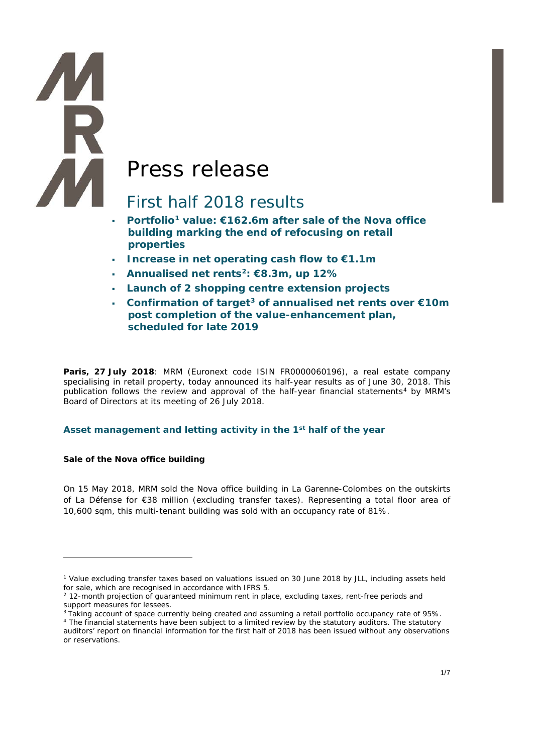# Press release

# First half 2018 results

- **Portfolio[1](#page-0-0) value: €162.6m after sale of the Nova office building marking the end of refocusing on retail properties**
- **Increase in net operating cash flow to €1.1m**
- **Annualised net rents[2](#page-0-1): €8.3m, up 12%**
- **Launch of 2 shopping centre extension projects**
- **Confirmation of target[3](#page-0-2) of annualised net rents over €10m post completion of the value-enhancement plan, scheduled for late 2019**

**Paris, 27 July 2018**: MRM (Euronext code ISIN FR0000060196), a real estate company specialising in retail property, today announced its half-year results as of June 30, 2018. This publication follows the review and approval of the half-year financial statements<sup>[4](#page-0-3)</sup> by MRM's Board of Directors at its meeting of 26 July 2018.

# **Asset management and letting activity in the 1st half of the year**

#### **Sale of the Nova office building**

-

**TA**<br>R

On 15 May 2018, MRM sold the Nova office building in La Garenne-Colombes on the outskirts of La Défense for €38 million (excluding transfer taxes). Representing a total floor area of 10,600 sqm, this multi-tenant building was sold with an occupancy rate of 81%.

<span id="page-0-0"></span><sup>1</sup> Value excluding transfer taxes based on valuations issued on 30 June 2018 by JLL, including assets held for sale, which are recognised in accordance with IFRS 5.

<span id="page-0-1"></span> $2$  12-month projection of guaranteed minimum rent in place, excluding taxes, rent-free periods and support measures for lessees.

<sup>&</sup>lt;sup>3</sup> Taking account of space currently being created and assuming a retail portfolio occupancy rate of 95%.

<span id="page-0-3"></span><span id="page-0-2"></span><sup>&</sup>lt;sup>4</sup> The financial statements have been subject to a limited review by the statutory auditors. The statutory auditors' report on financial information for the first half of 2018 has been issued without any observations or reservations.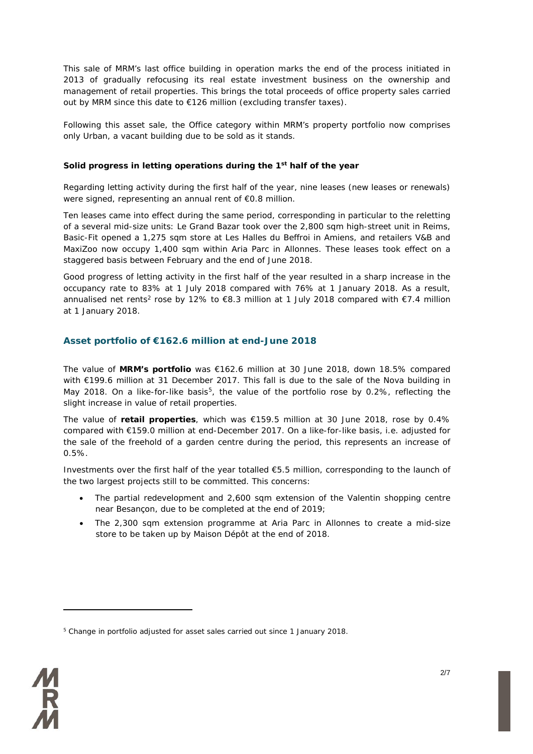This sale of MRM's last office building in operation marks the end of the process initiated in 2013 of gradually refocusing its real estate investment business on the ownership and management of retail properties. This brings the total proceeds of office property sales carried out by MRM since this date to €126 million (excluding transfer taxes).

Following this asset sale, the Office category within MRM's property portfolio now comprises only Urban, a vacant building due to be sold as it stands.

#### **Solid progress in letting operations during the 1st half of the year**

Regarding letting activity during the first half of the year, nine leases (new leases or renewals) were signed, representing an annual rent of €0.8 million.

Ten leases came into effect during the same period, corresponding in particular to the reletting of a several mid-size units: Le Grand Bazar took over the 2,800 sqm high-street unit in Reims, Basic-Fit opened a 1,275 sqm store at Les Halles du Beffroi in Amiens, and retailers V&B and MaxiZoo now occupy 1,400 sqm within Aria Parc in Allonnes. These leases took effect on a staggered basis between February and the end of June 2018.

Good progress of letting activity in the first half of the year resulted in a sharp increase in the occupancy rate to 83% at 1 July 2018 compared with 76% at 1 January 2018. As a result, annualised net rents<sup>2</sup> rose by 12% to €8.3 million at 1 July 2018 compared with €7.4 million at 1 January 2018.

# **Asset portfolio of €162.6 million at end-June 2018**

The value of **MRM's portfolio** was €162.6 million at 30 June 2018, down 18.5% compared with €199.6 million at 31 December 2017. This fall is due to the sale of the Nova building in May 2018. On a like-for-like basis<sup>[5](#page-1-0)</sup>, the value of the portfolio rose by 0.2%, reflecting the slight increase in value of retail properties.

The value of **retail properties**, which was €159.5 million at 30 June 2018, rose by 0.4% compared with €159.0 million at end-December 2017. On a like-for-like basis, i.e. adjusted for the sale of the freehold of a garden centre during the period, this represents an increase of 0.5%.

Investments over the first half of the year totalled €5.5 million, corresponding to the launch of the two largest projects still to be committed. This concerns:

- The partial redevelopment and 2,600 sqm extension of the Valentin shopping centre near Besançon, due to be completed at the end of 2019;
- The 2,300 sqm extension programme at Aria Parc in Allonnes to create a mid-size store to be taken up by Maison Dépôt at the end of 2018.

<span id="page-1-0"></span><sup>5</sup> Change in portfolio adjusted for asset sales carried out since 1 January 2018.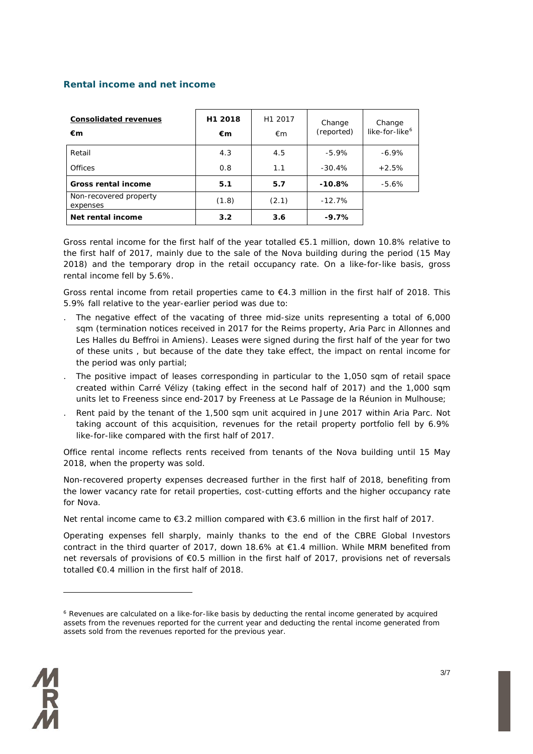# **Rental income and net income**

| <b>Consolidated revenues</b><br>€m | H1 2018<br>€m | H1 2017<br>€m | Change<br>(reported) | Change<br>like-for-like <sup>6</sup> |
|------------------------------------|---------------|---------------|----------------------|--------------------------------------|
| Retail                             | 4.3           | 4.5           | $-5.9\%$             | $-6.9\%$                             |
| <b>Offices</b>                     | 0.8           | 1.1           | $-30.4%$             | $+2.5%$                              |
| <b>Gross rental income</b>         | 5.1           | 5.7           | $-10.8%$             | $-5.6\%$                             |
| Non-recovered property<br>expenses | (1.8)         | (2.1)         | $-12.7%$             |                                      |
| Net rental income                  | 3.2           | 3.6           | $-9.7%$              |                                      |

Gross rental income for the first half of the year totalled €5.1 million, down 10.8% relative to the first half of 2017, mainly due to the sale of the Nova building during the period (15 May 2018) and the temporary drop in the retail occupancy rate. On a like-for-like basis, gross rental income fell by 5.6%.

Gross rental income from retail properties came to €4.3 million in the first half of 2018. This 5.9% fall relative to the year-earlier period was due to:

- The negative effect of the vacating of three mid-size units representing a total of 6,000 sqm (termination notices received in 2017 for the Reims property, Aria Parc in Allonnes and Les Halles du Beffroi in Amiens). Leases were signed during the first half of the year for two of these units , but because of the date they take effect, the impact on rental income for the period was only partial;
- . The positive impact of leases corresponding in particular to the 1,050 sqm of retail space created within Carré Vélizy (taking effect in the second half of 2017) and the 1,000 sqm units let to Freeness since end-2017 by Freeness at Le Passage de la Réunion in Mulhouse;
- . Rent paid by the tenant of the 1,500 sqm unit acquired in June 2017 within Aria Parc. Not taking account of this acquisition, revenues for the retail property portfolio fell by 6.9% like-for-like compared with the first half of 2017.

Office rental income reflects rents received from tenants of the Nova building until 15 May 2018, when the property was sold.

Non-recovered property expenses decreased further in the first half of 2018, benefiting from the lower vacancy rate for retail properties, cost-cutting efforts and the higher occupancy rate for Nova.

Net rental income came to €3.2 million compared with €3.6 million in the first half of 2017.

Operating expenses fell sharply, mainly thanks to the end of the CBRE Global Investors contract in the third quarter of 2017, down 18.6% at €1.4 million. While MRM benefited from net reversals of provisions of €0.5 million in the first half of 2017, provisions net of reversals totalled €0.4 million in the first half of 2018.

<span id="page-2-0"></span><sup>6</sup> Revenues are calculated on a like-for-like basis by deducting the rental income generated by acquired assets from the revenues reported for the current year and deducting the rental income generated from assets sold from the revenues reported for the previous year.

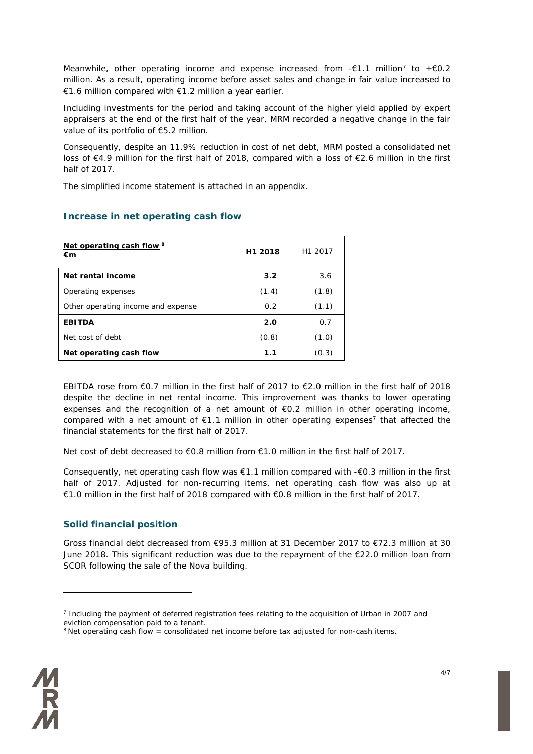Meanwhile, other operating income and expense increased from  $-\epsilon 1.1$  million<sup>[7](#page-3-0)</sup> to  $+\epsilon 0.2$ million. As a result, operating income before asset sales and change in fair value increased to €1.6 million compared with €1.2 million a year earlier.

Including investments for the period and taking account of the higher yield applied by expert appraisers at the end of the first half of the year, MRM recorded a negative change in the fair value of its portfolio of €5.2 million.

Consequently, despite an 11.9% reduction in cost of net debt, MRM posted a consolidated net loss of €4.9 million for the first half of 2018, compared with a loss of €2.6 million in the first half of 2017.

The simplified income statement is attached in an appendix.

# **Increase in net operating cash flow**

| Net operating cash flow 8<br>€m    | H <sub>1</sub> 2018 | H <sub>1</sub> 2017 |
|------------------------------------|---------------------|---------------------|
| Net rental income                  | 3.2                 | 3.6                 |
| Operating expenses                 | (1.4)               | (1.8)               |
| Other operating income and expense | 0.2                 | (1.1)               |
| <b>EBITDA</b>                      | 2.0                 | 0.7                 |
| Net cost of debt                   | (0.8)               | (1.0)               |
| Net operating cash flow            | 1.1                 | (0.3)               |

EBITDA rose from €0.7 million in the first half of 2017 to €2.0 million in the first half of 2018 despite the decline in net rental income. This improvement was thanks to lower operating expenses and the recognition of a net amount of  $\epsilon$ 0.2 million in other operating income, compared with a net amount of  $E1.1$  million in other operating expenses<sup>7</sup> that affected the financial statements for the first half of 2017.

Net cost of debt decreased to €0.8 million from €1.0 million in the first half of 2017.

Consequently, net operating cash flow was €1.1 million compared with -€0.3 million in the first half of 2017. Adjusted for non-recurring items, net operating cash flow was also up at €1.0 million in the first half of 2018 compared with €0.8 million in the first half of 2017.

# **Solid financial position**

Gross financial debt decreased from €95.3 million at 31 December 2017 to €72.3 million at 30 June 2018. This significant reduction was due to the repayment of the  $E$ 22.0 million loan from SCOR following the sale of the Nova building.

<span id="page-3-1"></span><span id="page-3-0"></span> $8$  Net operating cash flow = consolidated net income before tax adjusted for non-cash items.



<sup>7</sup> Including the payment of deferred registration fees relating to the acquisition of Urban in 2007 and eviction compensation paid to a tenant.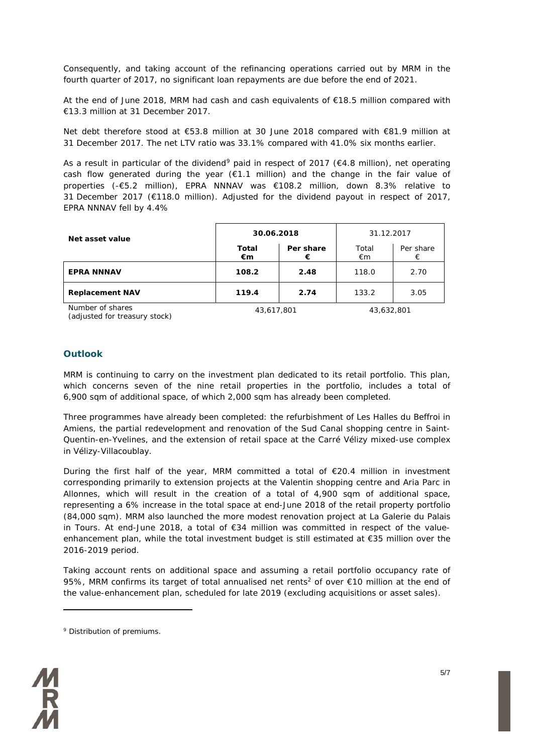Consequently, and taking account of the refinancing operations carried out by MRM in the fourth quarter of 2017, no significant loan repayments are due before the end of 2021.

At the end of June 2018, MRM had cash and cash equivalents of €18.5 million compared with €13.3 million at 31 December 2017.

Net debt therefore stood at €53.8 million at 30 June 2018 compared with €81.9 million at 31 December 2017. The net LTV ratio was 33.1% compared with 41.0% six months earlier.

As a result in particular of the dividend<sup>[9](#page-4-0)</sup> paid in respect of 2017 ( $\epsilon$ 4.8 million), net operating cash flow generated during the year (€1.1 million) and the change in the fair value of properties (-€5.2 million), EPRA NNNAV was €108.2 million, down 8.3% relative to 31 December 2017 (€118.0 million). Adjusted for the dividend payout in respect of 2017, EPRA NNNAV fell by 4.4%

| Net asset value        | 30.06.2018         |                | 31.12.2017   |                |
|------------------------|--------------------|----------------|--------------|----------------|
|                        | <b>Total</b><br>€m | Per share<br>€ | Total<br>€m  | Per share<br>€ |
| <b>EPRA NNNAV</b>      | 108.2              | 2.48           | 118.0        | 2.70           |
| <b>Replacement NAV</b> | 119.4              | 2.74           | 133.2        | 3.05           |
| Number of shares       | 12, 717, 001       |                | 12, 722, 001 |                |

*(adjusted for treasury stock) 43,617,801 43,632,801*

# **Outlook**

MRM is continuing to carry on the investment plan dedicated to its retail portfolio. This plan, which concerns seven of the nine retail properties in the portfolio, includes a total of 6,900 sqm of additional space, of which 2,000 sqm has already been completed.

Three programmes have already been completed: the refurbishment of Les Halles du Beffroi in Amiens, the partial redevelopment and renovation of the Sud Canal shopping centre in Saint-Quentin-en-Yvelines, and the extension of retail space at the Carré Vélizy mixed-use complex in Vélizy-Villacoublay.

During the first half of the year, MRM committed a total of  $E$ 20.4 million in investment corresponding primarily to extension projects at the Valentin shopping centre and Aria Parc in Allonnes, which will result in the creation of a total of 4,900 sqm of additional space, representing a 6% increase in the total space at end-June 2018 of the retail property portfolio (84,000 sqm). MRM also launched the more modest renovation project at La Galerie du Palais in Tours. At end-June 2018, a total of €34 million was committed in respect of the valueenhancement plan, while the total investment budget is still estimated at €35 million over the 2016-2019 period.

Taking account rents on additional space and assuming a retail portfolio occupancy rate of 95%, MRM confirms its target of total annualised net rents<sup>2</sup> of over €10 million at the end of the value-enhancement plan, scheduled for late 2019 (excluding acquisitions or asset sales).

<span id="page-4-0"></span><sup>9</sup> Distribution of premiums.

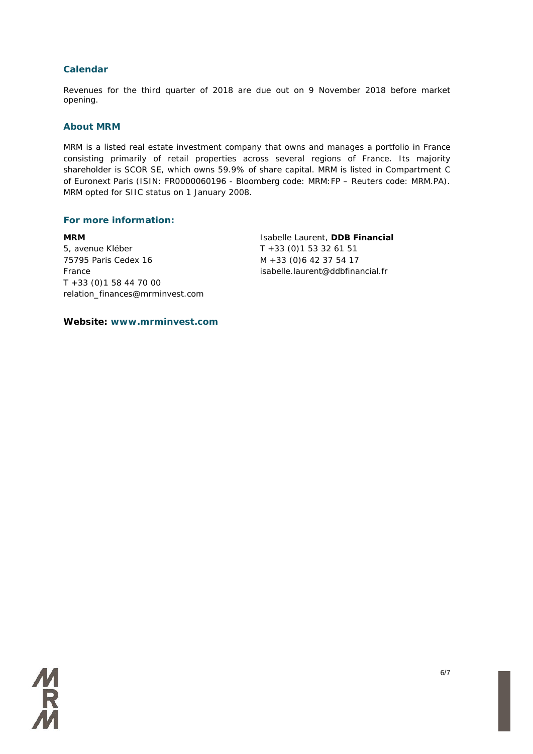# **Calendar**

Revenues for the third quarter of 2018 are due out on 9 November 2018 before market opening.

#### **About MRM**

MRM is a listed real estate investment company that owns and manages a portfolio in France consisting primarily of retail properties across several regions of France. Its majority shareholder is SCOR SE, which owns 59.9% of share capital. MRM is listed in Compartment C of Euronext Paris (ISIN: FR0000060196 - Bloomberg code: MRM:FP – Reuters code: MRM.PA). MRM opted for SIIC status on 1 January 2008.

#### **For more information:**

**MRM** 5, avenue Kléber 75795 Paris Cedex 16 France T +33 (0)1 58 44 70 00 relation\_finances@mrminvest.com Isabelle Laurent, **DDB Financial** T +33 (0)1 53 32 61 51 M +33 (0)6 42 37 54 17 isabelle.laurent@ddbfinancial.fr

**Website: www.mrminvest.com**